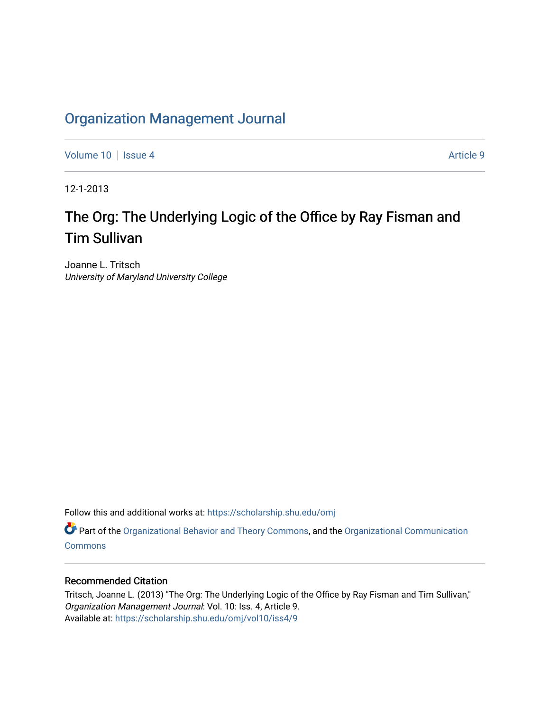## [Organization Management Journal](https://scholarship.shu.edu/omj)

[Volume 10](https://scholarship.shu.edu/omj/vol10) | [Issue 4](https://scholarship.shu.edu/omj/vol10/iss4) Article 9

12-1-2013

# The Org: The Underlying Logic of the Office by Ray Fisman and Tim Sullivan

Joanne L. Tritsch University of Maryland University College

Follow this and additional works at: [https://scholarship.shu.edu/omj](https://scholarship.shu.edu/omj?utm_source=scholarship.shu.edu%2Fomj%2Fvol10%2Fiss4%2F9&utm_medium=PDF&utm_campaign=PDFCoverPages) 

Part of the [Organizational Behavior and Theory Commons,](http://network.bepress.com/hgg/discipline/639?utm_source=scholarship.shu.edu%2Fomj%2Fvol10%2Fiss4%2F9&utm_medium=PDF&utm_campaign=PDFCoverPages) and the [Organizational Communication](http://network.bepress.com/hgg/discipline/335?utm_source=scholarship.shu.edu%2Fomj%2Fvol10%2Fiss4%2F9&utm_medium=PDF&utm_campaign=PDFCoverPages) **[Commons](http://network.bepress.com/hgg/discipline/335?utm_source=scholarship.shu.edu%2Fomj%2Fvol10%2Fiss4%2F9&utm_medium=PDF&utm_campaign=PDFCoverPages)** 

### Recommended Citation

Tritsch, Joanne L. (2013) "The Org: The Underlying Logic of the Office by Ray Fisman and Tim Sullivan," Organization Management Journal: Vol. 10: Iss. 4, Article 9. Available at: [https://scholarship.shu.edu/omj/vol10/iss4/9](https://scholarship.shu.edu/omj/vol10/iss4/9?utm_source=scholarship.shu.edu%2Fomj%2Fvol10%2Fiss4%2F9&utm_medium=PDF&utm_campaign=PDFCoverPages)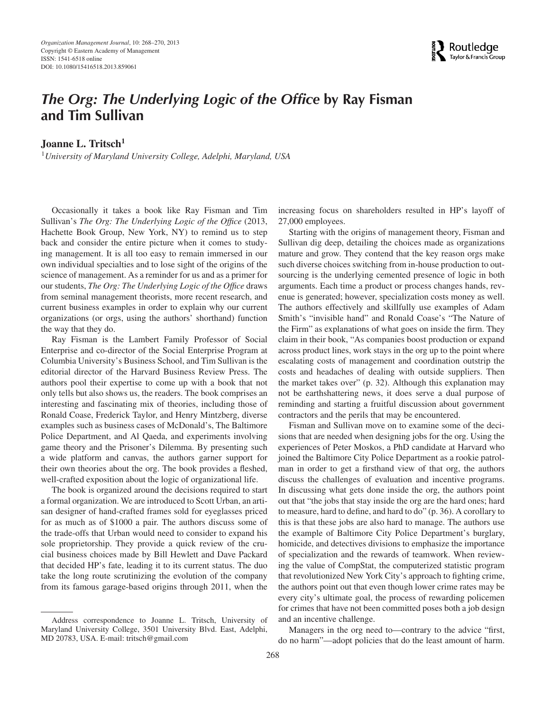

### *The Org: The Underlying Logic of the Office* **by Ray Fisman and Tim Sullivan**

Joanne L. Tritsch<sup>1</sup>

<sup>1</sup>*University of Maryland University College, Adelphi, Maryland, USA*

Occasionally it takes a book like Ray Fisman and Tim Sullivan's *The Org: The Underlying Logic of the Office* (2013, Hachette Book Group, New York, NY) to remind us to step back and consider the entire picture when it comes to studying management. It is all too easy to remain immersed in our own individual specialties and to lose sight of the origins of the science of management. As a reminder for us and as a primer for our students, *The Org: The Underlying Logic of the Office* draws from seminal management theorists, more recent research, and current business examples in order to explain why our current organizations (or orgs, using the authors' shorthand) function the way that they do.

Ray Fisman is the Lambert Family Professor of Social Enterprise and co-director of the Social Enterprise Program at Columbia University's Business School, and Tim Sullivan is the editorial director of the Harvard Business Review Press. The authors pool their expertise to come up with a book that not only tells but also shows us, the readers. The book comprises an interesting and fascinating mix of theories, including those of Ronald Coase, Frederick Taylor, and Henry Mintzberg, diverse examples such as business cases of McDonald's, The Baltimore Police Department, and Al Qaeda, and experiments involving game theory and the Prisoner's Dilemma. By presenting such a wide platform and canvas, the authors garner support for their own theories about the org. The book provides a fleshed, well-crafted exposition about the logic of organizational life.

The book is organized around the decisions required to start a formal organization. We are introduced to Scott Urban, an artisan designer of hand-crafted frames sold for eyeglasses priced for as much as of \$1000 a pair. The authors discuss some of the trade-offs that Urban would need to consider to expand his sole proprietorship. They provide a quick review of the crucial business choices made by Bill Hewlett and Dave Packard that decided HP's fate, leading it to its current status. The duo take the long route scrutinizing the evolution of the company from its famous garage-based origins through 2011, when the

increasing focus on shareholders resulted in HP's layoff of 27,000 employees.

Starting with the origins of management theory, Fisman and Sullivan dig deep, detailing the choices made as organizations mature and grow. They contend that the key reason orgs make such diverse choices switching from in-house production to outsourcing is the underlying cemented presence of logic in both arguments. Each time a product or process changes hands, revenue is generated; however, specialization costs money as well. The authors effectively and skillfully use examples of Adam Smith's "invisible hand" and Ronald Coase's "The Nature of the Firm" as explanations of what goes on inside the firm. They claim in their book, "As companies boost production or expand across product lines, work stays in the org up to the point where escalating costs of management and coordination outstrip the costs and headaches of dealing with outside suppliers. Then the market takes over" (p. 32). Although this explanation may not be earthshattering news, it does serve a dual purpose of reminding and starting a fruitful discussion about government contractors and the perils that may be encountered.

Fisman and Sullivan move on to examine some of the decisions that are needed when designing jobs for the org. Using the experiences of Peter Moskos, a PhD candidate at Harvard who joined the Baltimore City Police Department as a rookie patrolman in order to get a firsthand view of that org, the authors discuss the challenges of evaluation and incentive programs. In discussing what gets done inside the org, the authors point out that "the jobs that stay inside the org are the hard ones; hard to measure, hard to define, and hard to do" (p. 36). A corollary to this is that these jobs are also hard to manage. The authors use the example of Baltimore City Police Department's burglary, homicide, and detectives divisions to emphasize the importance of specialization and the rewards of teamwork. When reviewing the value of CompStat, the computerized statistic program that revolutionized New York City's approach to fighting crime, the authors point out that even though lower crime rates may be every city's ultimate goal, the process of rewarding policemen for crimes that have not been committed poses both a job design and an incentive challenge.

Managers in the org need to—contrary to the advice "first, do no harm"—adopt policies that do the least amount of harm.

Address correspondence to Joanne L. Tritsch, University of Maryland University College, 3501 University Blvd. East, Adelphi, MD 20783, USA. E-mail: tritsch@gmail.com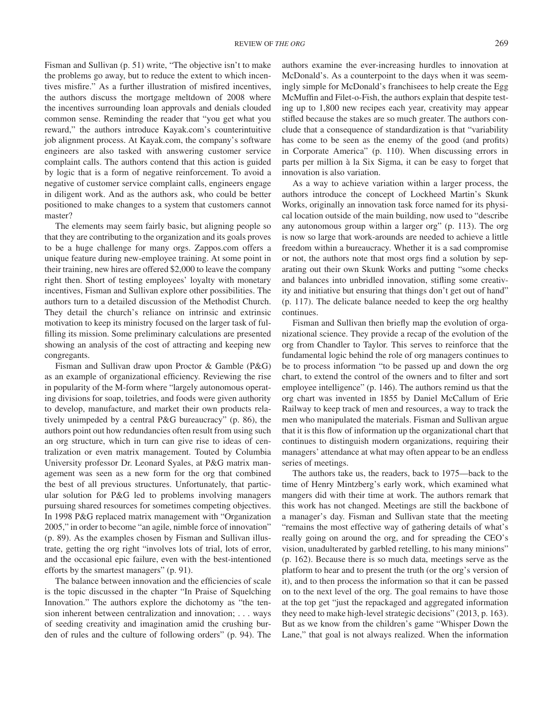Fisman and Sullivan (p. 51) write, "The objective isn't to make the problems go away, but to reduce the extent to which incentives misfire." As a further illustration of misfired incentives, the authors discuss the mortgage meltdown of 2008 where the incentives surrounding loan approvals and denials clouded common sense. Reminding the reader that "you get what you reward," the authors introduce Kayak.com's counterintuitive job alignment process. At Kayak.com, the company's software engineers are also tasked with answering customer service complaint calls. The authors contend that this action is guided by logic that is a form of negative reinforcement. To avoid a negative of customer service complaint calls, engineers engage in diligent work. And as the authors ask, who could be better positioned to make changes to a system that customers cannot master?

The elements may seem fairly basic, but aligning people so that they are contributing to the organization and its goals proves to be a huge challenge for many orgs. Zappos.com offers a unique feature during new-employee training. At some point in their training, new hires are offered \$2,000 to leave the company right then. Short of testing employees' loyalty with monetary incentives, Fisman and Sullivan explore other possibilities. The authors turn to a detailed discussion of the Methodist Church. They detail the church's reliance on intrinsic and extrinsic motivation to keep its ministry focused on the larger task of fulfilling its mission. Some preliminary calculations are presented showing an analysis of the cost of attracting and keeping new congregants.

Fisman and Sullivan draw upon Proctor & Gamble (P&G) as an example of organizational efficiency. Reviewing the rise in popularity of the M-form where "largely autonomous operating divisions for soap, toiletries, and foods were given authority to develop, manufacture, and market their own products relatively unimpeded by a central P&G bureaucracy" (p. 86), the authors point out how redundancies often result from using such an org structure, which in turn can give rise to ideas of centralization or even matrix management. Touted by Columbia University professor Dr. Leonard Syales, at P&G matrix management was seen as a new form for the org that combined the best of all previous structures. Unfortunately, that particular solution for P&G led to problems involving managers pursuing shared resources for sometimes competing objectives. In 1998 P&G replaced matrix management with "Organization 2005," in order to become "an agile, nimble force of innovation" (p. 89). As the examples chosen by Fisman and Sullivan illustrate, getting the org right "involves lots of trial, lots of error, and the occasional epic failure, even with the best-intentioned efforts by the smartest managers" (p. 91).

The balance between innovation and the efficiencies of scale is the topic discussed in the chapter "In Praise of Squelching Innovation." The authors explore the dichotomy as "the tension inherent between centralization and innovation; *...* ways of seeding creativity and imagination amid the crushing burden of rules and the culture of following orders" (p. 94). The authors examine the ever-increasing hurdles to innovation at McDonald's. As a counterpoint to the days when it was seemingly simple for McDonald's franchisees to help create the Egg McMuffin and Filet-o-Fish, the authors explain that despite testing up to 1,800 new recipes each year, creativity may appear stifled because the stakes are so much greater. The authors conclude that a consequence of standardization is that "variability has come to be seen as the enemy of the good (and profits) in Corporate America" (p. 110). When discussing errors in parts per million à la Six Sigma, it can be easy to forget that innovation is also variation.

As a way to achieve variation within a larger process, the authors introduce the concept of Lockheed Martin's Skunk Works, originally an innovation task force named for its physical location outside of the main building, now used to "describe any autonomous group within a larger org" (p. 113). The org is now so large that work-arounds are needed to achieve a little freedom within a bureaucracy. Whether it is a sad compromise or not, the authors note that most orgs find a solution by separating out their own Skunk Works and putting "some checks and balances into unbridled innovation, stifling some creativity and initiative but ensuring that things don't get out of hand" (p. 117). The delicate balance needed to keep the org healthy continues.

Fisman and Sullivan then briefly map the evolution of organizational science. They provide a recap of the evolution of the org from Chandler to Taylor. This serves to reinforce that the fundamental logic behind the role of org managers continues to be to process information "to be passed up and down the org chart, to extend the control of the owners and to filter and sort employee intelligence" (p. 146). The authors remind us that the org chart was invented in 1855 by Daniel McCallum of Erie Railway to keep track of men and resources, a way to track the men who manipulated the materials. Fisman and Sullivan argue that it is this flow of information up the organizational chart that continues to distinguish modern organizations, requiring their managers' attendance at what may often appear to be an endless series of meetings.

The authors take us, the readers, back to 1975—back to the time of Henry Mintzberg's early work, which examined what mangers did with their time at work. The authors remark that this work has not changed. Meetings are still the backbone of a manager's day. Fisman and Sullivan state that the meeting "remains the most effective way of gathering details of what's really going on around the org, and for spreading the CEO's vision, unadulterated by garbled retelling, to his many minions" (p. 162). Because there is so much data, meetings serve as the platform to hear and to present the truth (or the org's version of it), and to then process the information so that it can be passed on to the next level of the org. The goal remains to have those at the top get "just the repackaged and aggregated information they need to make high-level strategic decisions" (2013, p. 163). But as we know from the children's game "Whisper Down the Lane," that goal is not always realized. When the information